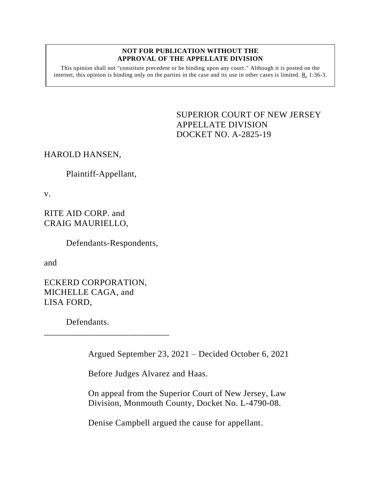## **NOT FOR PUBLICATION WITHOUT THE APPROVAL OF THE APPELLATE DIVISION**

This opinion shall not "constitute precedent or be binding upon any court." Although it is posted on the internet, this opinion is binding only on the parties in the case and its use in other cases is limited. R. 1:36-3.

> <span id="page-0-0"></span>SUPERIOR COURT OF NEW JERSEY APPELLATE DIVISION DOCKET NO. A-2825-19

HAROLD HANSEN,

Plaintiff-Appellant,

v.

RITE AID CORP. and CRAIG MAURIELLO,

Defendants-Respondents,

and

ECKERD CORPORATION, MICHELLE CAGA, and LISA FORD,

\_\_\_\_\_\_\_\_\_\_\_\_\_\_\_\_\_\_\_\_\_\_\_\_\_\_\_\_

Defendants.

Argued September 23, 2021 – Decided October 6, 2021

Before Judges Alvarez and Haas.

On appeal from the Superior Court of New Jersey, Law Division, Monmouth County, Docket No. L-4790-08.

Denise Campbell argued the cause for appellant.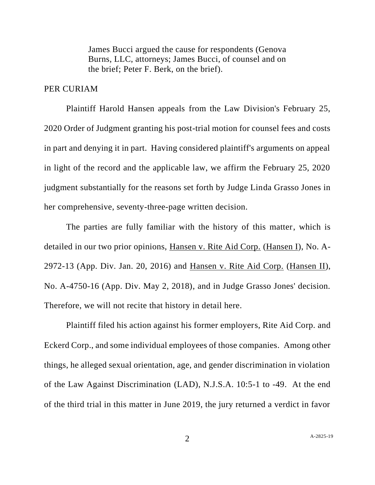James Bucci argued the cause for respondents (Genova Burns, LLC, attorneys; James Bucci, of counsel and on the brief; Peter F. Berk, on the brief).

## PER CURIAM

Plaintiff Harold Hansen appeals from the Law Division's February 25, 2020 Order of Judgment granting his post-trial motion for counsel fees and costs in part and denying it in part. Having considered plaintiff's arguments on appeal in light of the record and the applicable law, we affirm the February 25, 2020 judgment substantially for the reasons set forth by Judge Linda Grasso Jones in her comprehensive, seventy-three-page written decision.

The parties are fully familiar with the history of this matter, which is detailed in our two prior opinions, Hansen v. Rite Aid Corp. (Hansen I), No. A-2972-13 (App. Div. Jan. 20, 2016) and Hansen v. Rite Aid Corp. (Hansen II), No. A-4750-16 (App. Div. May 2, 2018), and in Judge Grasso Jones' decision. Therefore, we will not recite that history in detail here.

Plaintiff filed his action against his former employers, Rite Aid Corp. and Eckerd Corp., and some individual employees of those companies. Among other things, he alleged sexual orientation, age, and gender discrimination in violation of the Law Against Discrimination (LAD), N.J.S.A. 10:5-1 to -49. At the end of the third trial in this matter in June 2019, the jury returned a verdict in favor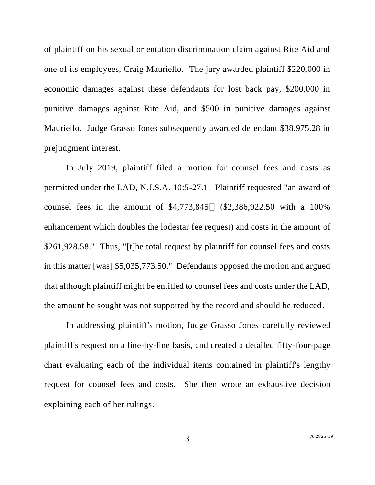of plaintiff on his sexual orientation discrimination claim against Rite Aid and one of its employees, Craig Mauriello. The jury awarded plaintiff \$220,000 in economic damages against these defendants for lost back pay, \$200,000 in punitive damages against Rite Aid, and \$500 in punitive damages against Mauriello. Judge Grasso Jones subsequently awarded defendant \$38,975.28 in prejudgment interest.

In July 2019, plaintiff filed a motion for counsel fees and costs as permitted under the LAD, N.J.S.A. 10:5-27.1. Plaintiff requested "an award of counsel fees in the amount of \$4,773,845[] (\$2,386,922.50 with a 100% enhancement which doubles the lodestar fee request) and costs in the amount of \$261,928.58." Thus, "[t]he total request by plaintiff for counsel fees and costs in this matter [was] \$5,035,773.50." Defendants opposed the motion and argued that although plaintiff might be entitled to counsel fees and costs under the LAD, the amount he sought was not supported by the record and should be reduced.

In addressing plaintiff's motion, Judge Grasso Jones carefully reviewed plaintiff's request on a line-by-line basis, and created a detailed fifty-four-page chart evaluating each of the individual items contained in plaintiff's lengthy request for counsel fees and costs. She then wrote an exhaustive decision explaining each of her rulings.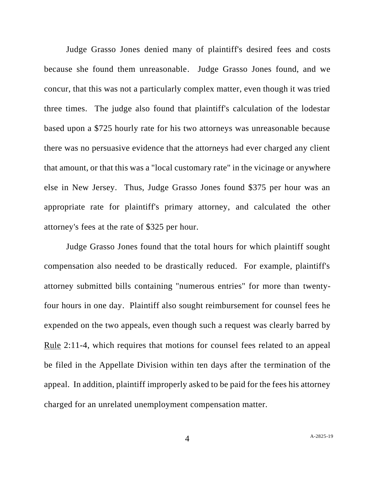Judge Grasso Jones denied many of plaintiff's desired fees and costs because she found them unreasonable. Judge Grasso Jones found, and we concur, that this was not a particularly complex matter, even though it was tried three times. The judge also found that plaintiff's calculation of the lodestar based upon a \$725 hourly rate for his two attorneys was unreasonable because there was no persuasive evidence that the attorneys had ever charged any client that amount, or that this was a "local customary rate" in the vicinage or anywhere else in New Jersey. Thus, Judge Grasso Jones found \$375 per hour was an appropriate rate for plaintiff's primary attorney, and calculated the other attorney's fees at the rate of \$325 per hour.

Judge Grasso Jones found that the total hours for which plaintiff sought compensation also needed to be drastically reduced. For example, plaintiff's attorney submitted bills containing "numerous entries" for more than twentyfour hours in one day. Plaintiff also sought reimbursement for counsel fees he expended on the two appeals, even though such a request was clearly barred by Rule 2:11-4, which requires that motions for counsel fees related to an appeal be filed in the Appellate Division within ten days after the termination of the appeal. In addition, plaintiff improperly asked to be paid for the fees his attorney charged for an unrelated unemployment compensation matter.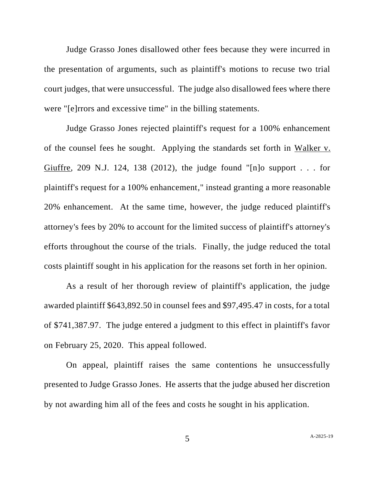Judge Grasso Jones disallowed other fees because they were incurred in the presentation of arguments, such as plaintiff's motions to recuse two trial court judges, that were unsuccessful. The judge also disallowed fees where there were "[e]rrors and excessive time" in the billing statements.

Judge Grasso Jones rejected plaintiff's request for a 100% enhancement of the counsel fees he sought. Applying the standards set forth in Walker v. Giuffre, 209 N.J. 124, 138 (2012), the judge found "[n]o support  $\ldots$  for plaintiff's request for a 100% enhancement," instead granting a more reasonable 20% enhancement. At the same time, however, the judge reduced plaintiff's attorney's fees by 20% to account for the limited success of plaintiff's attorney's efforts throughout the course of the trials. Finally, the judge reduced the total costs plaintiff sought in his application for the reasons set forth in her opinion.

As a result of her thorough review of plaintiff's application, the judge awarded plaintiff \$643,892.50 in counsel fees and \$97,495.47 in costs, for a total of \$741,387.97. The judge entered a judgment to this effect in plaintiff's favor on February 25, 2020. This appeal followed.

On appeal, plaintiff raises the same contentions he unsuccessfully presented to Judge Grasso Jones. He asserts that the judge abused her discretion by not awarding him all of the fees and costs he sought in his application.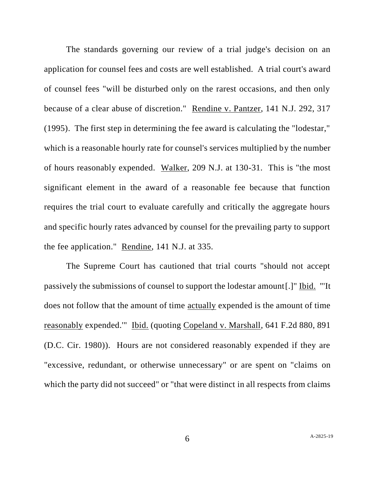The standards governing our review of a trial judge's decision on an application for counsel fees and costs are well established. A trial court's award of counsel fees "will be disturbed only on the rarest occasions, and then only because of a clear abuse of discretion." Rendine v. Pantzer, 141 N.J. 292, 317 (1995). The first step in determining the fee award is calculating the "lodestar," which is a reasonable hourly rate for counsel's services multiplied by the number of hours reasonably expended. Walker, 209 N.J. at 130-31. This is "the most significant element in the award of a reasonable fee because that function requires the trial court to evaluate carefully and critically the aggregate hours and specific hourly rates advanced by counsel for the prevailing party to support the fee application." Rendine, 141 N.J. at 335.

The Supreme Court has cautioned that trial courts "should not accept passively the submissions of counsel to support the lodestar amount[.]" Ibid. "'It does not follow that the amount of time actually expended is the amount of time reasonably expended.'" Ibid. (quoting Copeland v. Marshall, 641 F.2d 880, 891 (D.C. Cir. 1980)). Hours are not considered reasonably expended if they are "excessive, redundant, or otherwise unnecessary" or are spent on "claims on which the party did not succeed" or "that were distinct in all respects from claims